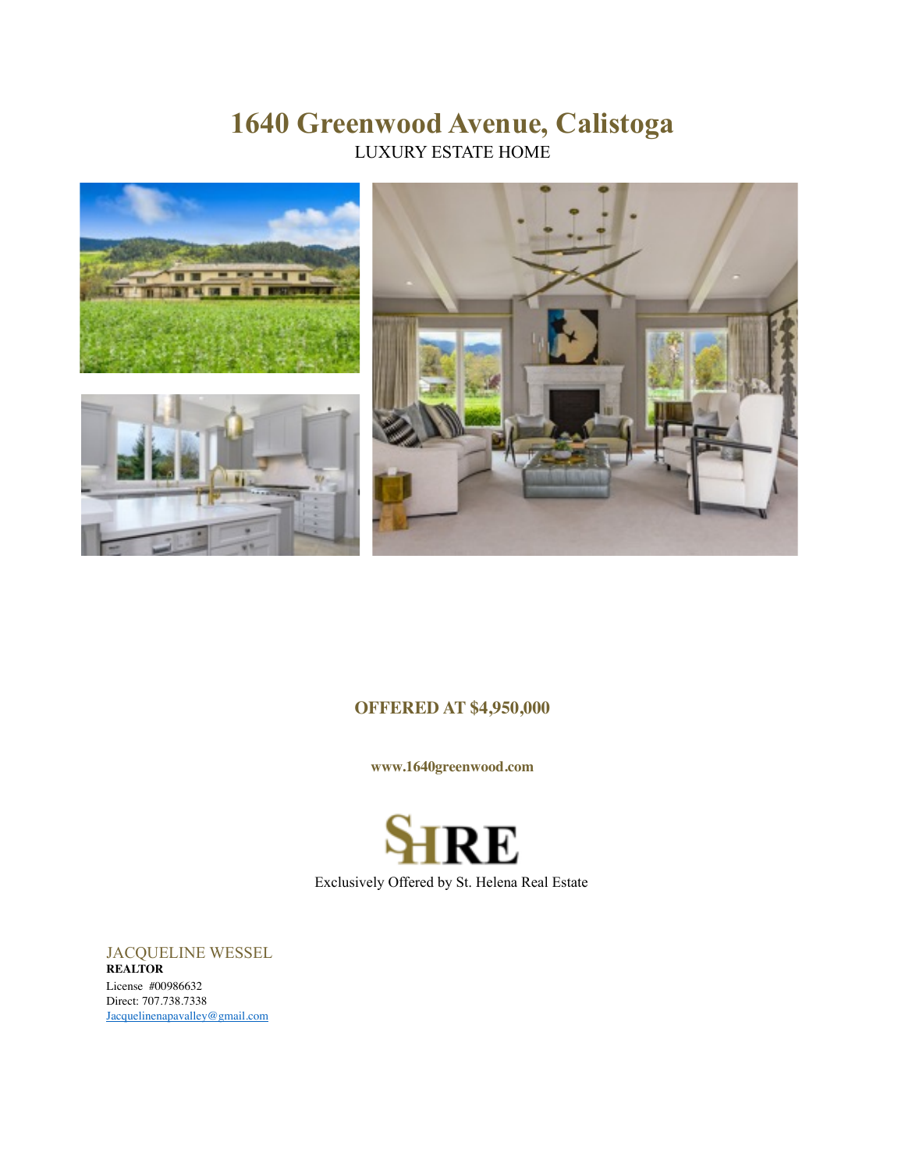# **1640 Greenwood Avenue, Calistoga** LUXURY ESTATE HOME



# **OFFERED AT \$4,950,000**

**www.1640greenwood.com**

RE Exclusively Offered by St. Helena Real Estate

JACQUELINE WESSEL **REALTOR** License #00986632 Direct: 707.738.7338 [Jacquelinenapavalley@gmail.com](mailto:Jacquelinenapavalley@gmail.com)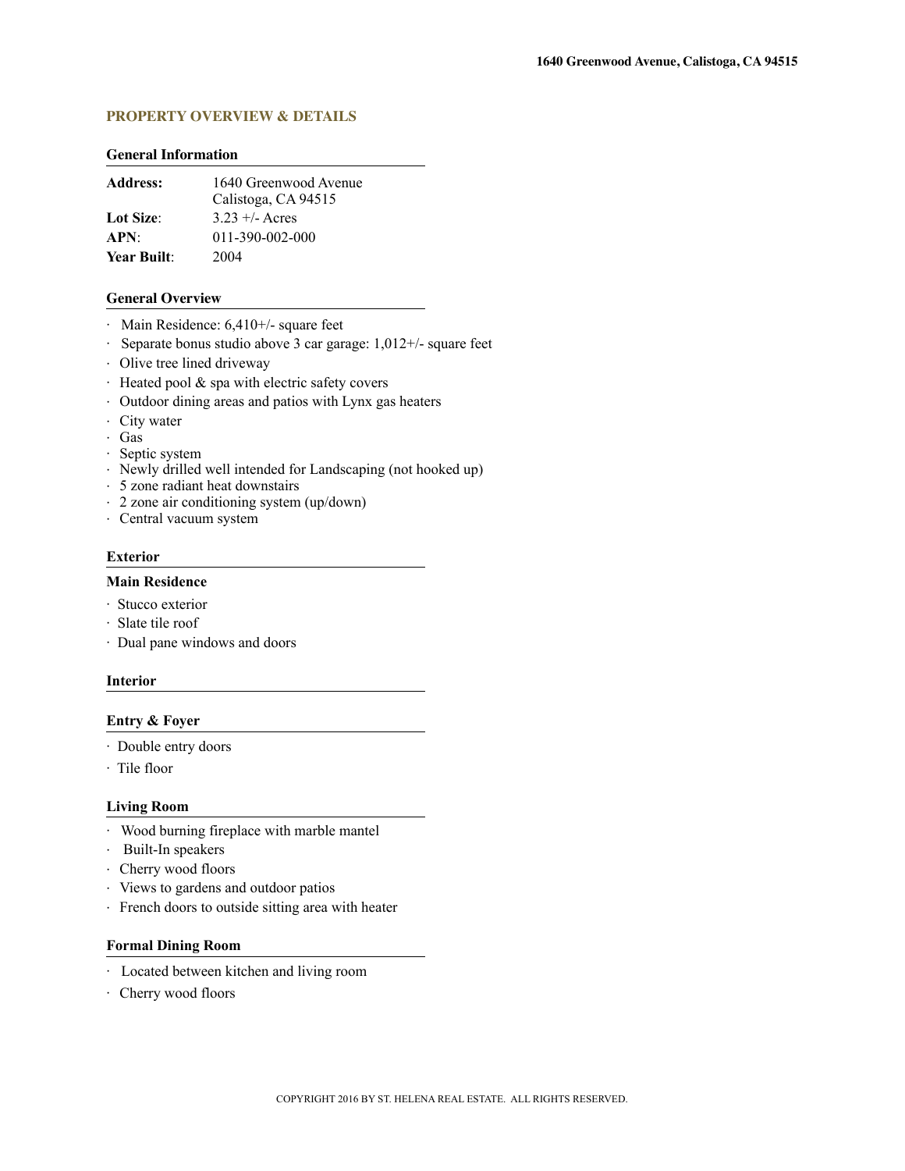### **PROPERTY OVERVIEW & DETAILS**

#### **General Information**

| <b>Address:</b>    | 1640 Greenwood Avenue<br>Calistoga, CA 94515 |
|--------------------|----------------------------------------------|
| Lot Size:          | $3.23 + (-$ Acres                            |
| APN:               | 011-390-002-000                              |
| <b>Year Built:</b> | 2004                                         |

#### **General Overview**

- · Main Residence: 6,410+/- square feet
- · Separate bonus studio above 3 car garage: 1,012+/- square feet
- · Olive tree lined driveway
- · Heated pool & spa with electric safety covers
- · Outdoor dining areas and patios with Lynx gas heaters
- · City water
- · Gas
- · Septic system
- · Newly drilled well intended for Landscaping (not hooked up)
- · 5 zone radiant heat downstairs
- · 2 zone air conditioning system (up/down)
- · Central vacuum system

#### **Exterior**

#### **Main Residence**

- · Stucco exterior
- · Slate tile roof
- · Dual pane windows and doors

#### **Interior**

#### **Entry & Foyer**

- · Double entry doors
- · Tile floor

#### **Living Room**

- · Wood burning fireplace with marble mantel
- · Built-In speakers
- · Cherry wood floors
- · Views to gardens and outdoor patios
- · French doors to outside sitting area with heater

#### **Formal Dining Room**

- · Located between kitchen and living room
- · Cherry wood floors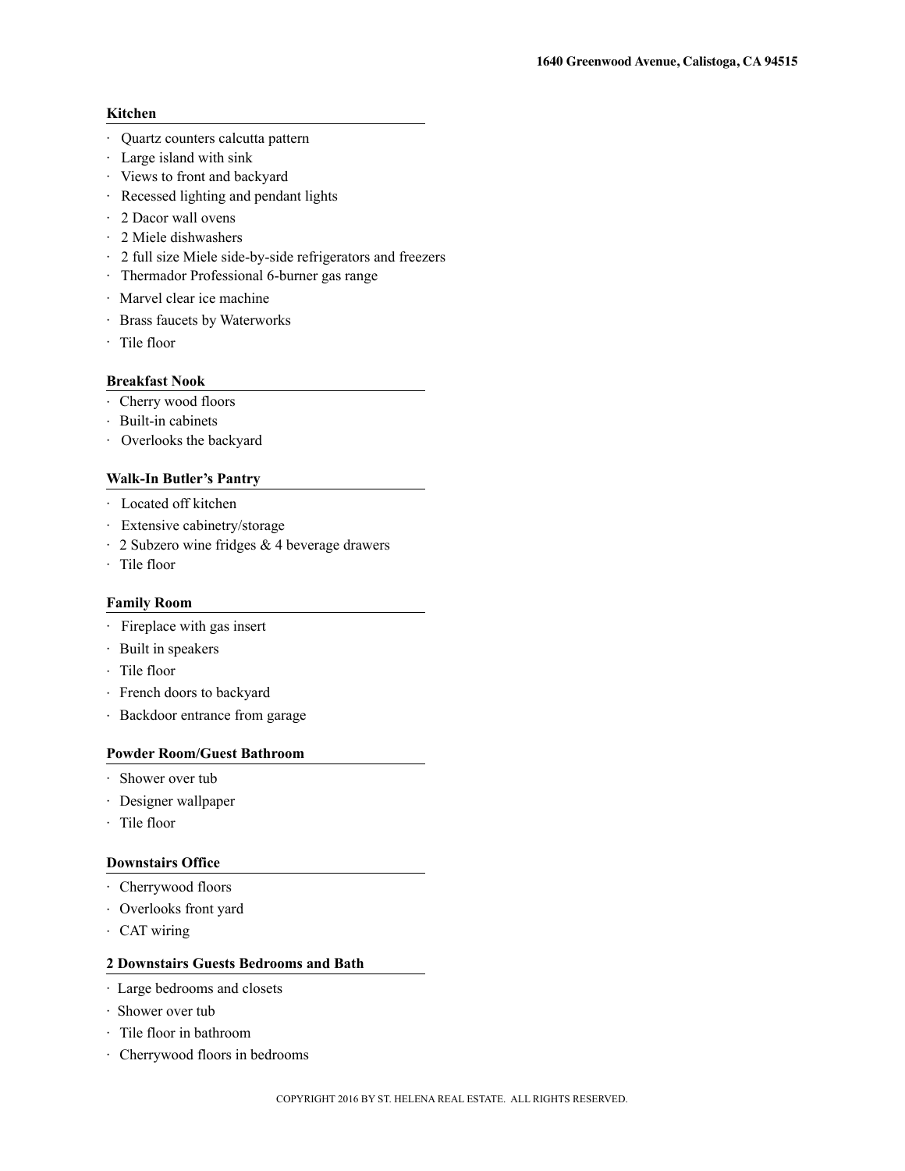# **Kitchen**

- · Quartz counters calcutta pattern
- · Large island with sink
- · Views to front and backyard
- · Recessed lighting and pendant lights
- · 2 Dacor wall ovens
- · 2 Miele dishwashers
- · 2 full size Miele side-by-side refrigerators and freezers
- · Thermador Professional 6-burner gas range
- · Marvel clear ice machine
- · Brass faucets by Waterworks
- · Tile floor

# **Breakfast Nook**

- · Cherry wood floors
- · Built-in cabinets
- · Overlooks the backyard

#### **Walk-In Butler's Pantry**

- · Located off kitchen
- · Extensive cabinetry/storage
- · 2 Subzero wine fridges & 4 beverage drawers
- · Tile floor

## **Family Room**

- · Fireplace with gas insert
- · Built in speakers
- · Tile floor
- · French doors to backyard
- · Backdoor entrance from garage

#### **Powder Room/Guest Bathroom**

- · Shower over tub
- · Designer wallpaper
- · Tile floor

#### **Downstairs Office**

- · Cherrywood floors
- · Overlooks front yard
- · CAT wiring

#### **2 Downstairs Guests Bedrooms and Bath**

- · Large bedrooms and closets
- · Shower over tub
- · Tile floor in bathroom
- · Cherrywood floors in bedrooms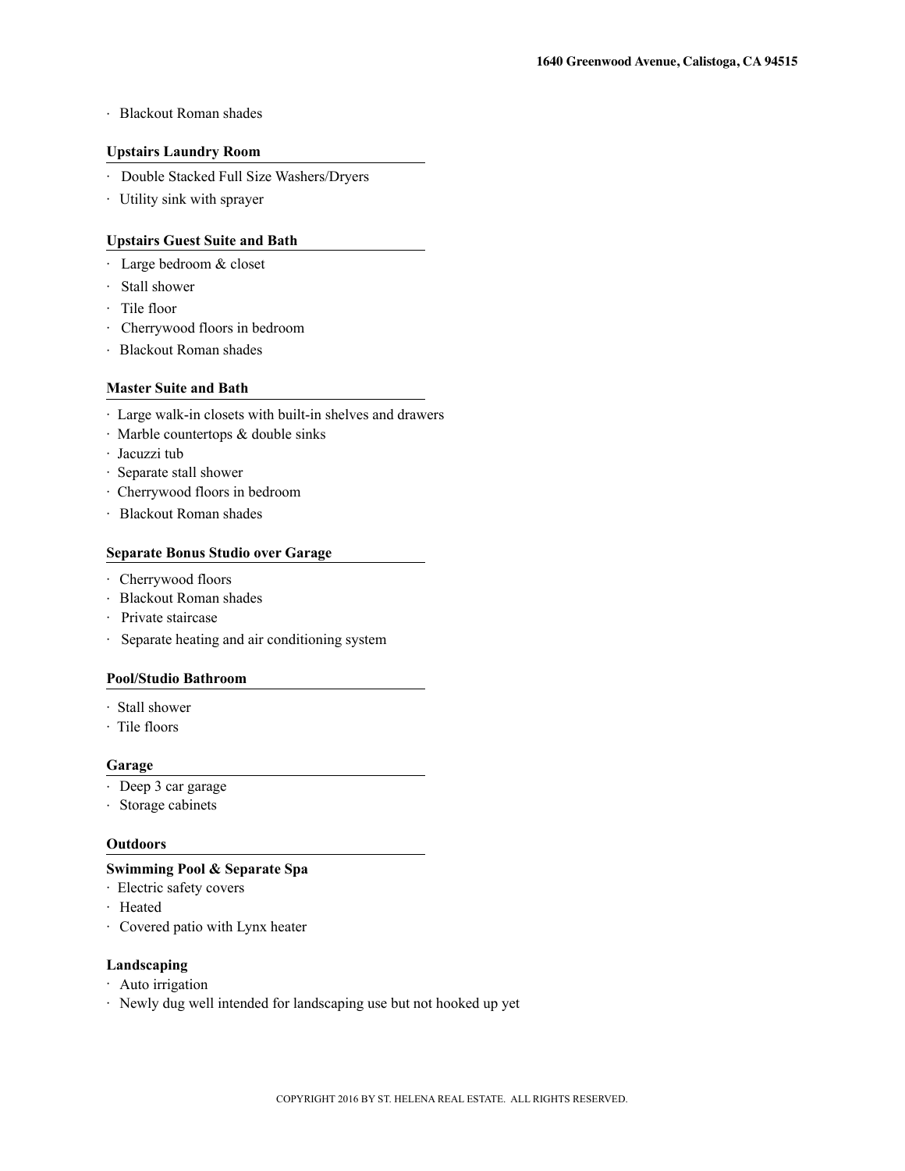# · Blackout Roman shades

#### **Upstairs Laundry Room**

- · Double Stacked Full Size Washers/Dryers
- · Utility sink with sprayer

# **Upstairs Guest Suite and Bath**

- · Large bedroom & closet
- · Stall shower
- · Tile floor
- · Cherrywood floors in bedroom
- · Blackout Roman shades

#### **Master Suite and Bath**

- · Large walk-in closets with built-in shelves and drawers
- · Marble countertops & double sinks
- · Jacuzzi tub
- · Separate stall shower
- · Cherrywood floors in bedroom
- · Blackout Roman shades

# **Separate Bonus Studio over Garage**

- · Cherrywood floors
- · Blackout Roman shades
- · Private staircase
- · Separate heating and air conditioning system

# **Pool/Studio Bathroom**

- · Stall shower
- · Tile floors

#### **Garage**

- · Deep 3 car garage
- · Storage cabinets

#### **Outdoors**

#### **Swimming Pool & Separate Spa**

- · Electric safety covers
- · Heated
- · Covered patio with Lynx heater

#### **Landscaping**

- · Auto irrigation
- · Newly dug well intended for landscaping use but not hooked up yet